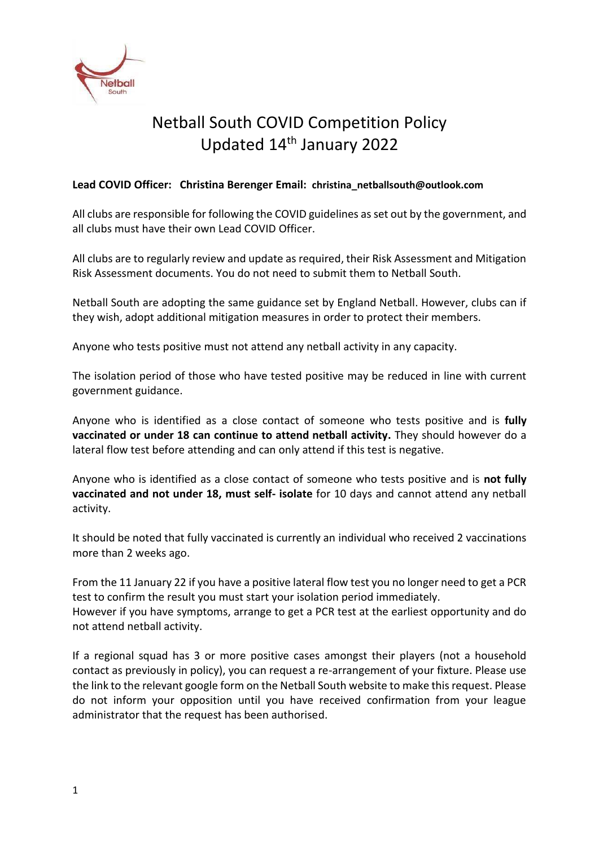

# Netball South COVID Competition Policy Updated 14<sup>th</sup> January 2022

## **Lead COVID Officer: Christina Berenger Email: [christina\\_netballsouth@outlook.com](mailto:christina_netballsouth@outlook.com)**

All clubs are responsible for following the COVID guidelines as set out by the government, and all clubs must have their own Lead COVID Officer.

All clubs are to regularly review and update as required, their Risk Assessment and Mitigation Risk Assessment documents. You do not need to submit them to Netball South.

Netball South are adopting the same guidance set by England Netball. However, clubs can if they wish, adopt additional mitigation measures in order to protect their members.

Anyone who tests positive must not attend any netball activity in any capacity.

The isolation period of those who have tested positive may be reduced in line with current government guidance.

Anyone who is identified as a close contact of someone who tests positive and is **fully vaccinated or under 18 can continue to attend netball activity.** They should however do a lateral flow test before attending and can only attend if this test is negative.

Anyone who is identified as a close contact of someone who tests positive and is **not fully vaccinated and not under 18, must self- isolate** for 10 days and cannot attend any netball activity.

It should be noted that fully vaccinated is currently an individual who received 2 vaccinations more than 2 weeks ago.

From the 11 January 22 if you have a positive lateral flow test you no longer need to get a PCR test to confirm the result you must start your isolation period immediately. However if you have symptoms, arrange to get a PCR test at the earliest opportunity and do not attend netball activity.

If a regional squad has 3 or more positive cases amongst their players (not a household contact as previously in policy), you can request a re-arrangement of your fixture. Please use the link to the relevant google form on the Netball South website to make this request. Please do not inform your opposition until you have received confirmation from your league administrator that the request has been authorised.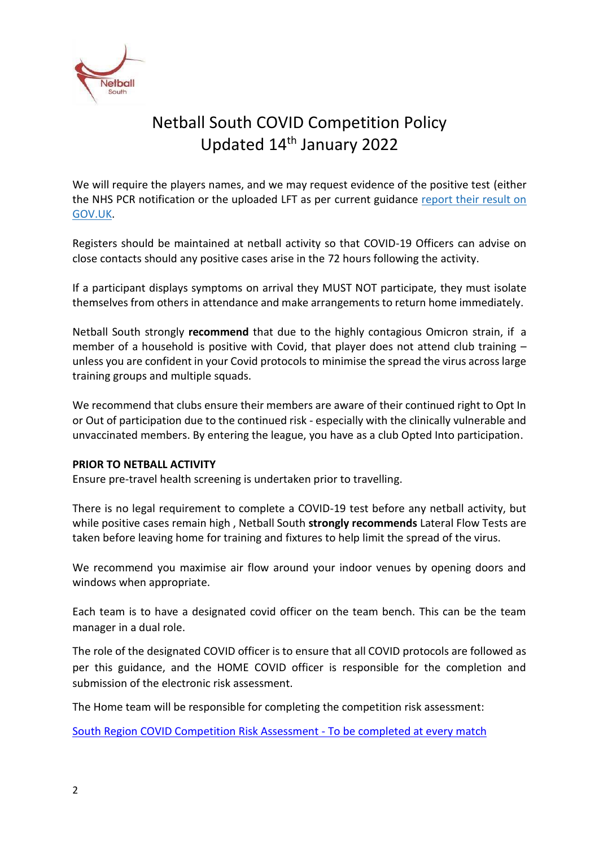

# Netball South COVID Competition Policy Updated 14<sup>th</sup> January 2022

We will require the players names, and we may request evidence of the positive test (either the NHS PCR notification or the uploaded LFT as per current guidance [report their result on](https://www.gov.uk/report-covid19-result)  [GOV.UK.](https://www.gov.uk/report-covid19-result)

Registers should be maintained at netball activity so that COVID-19 Officers can advise on close contacts should any positive cases arise in the 72 hours following the activity.

If a participant displays symptoms on arrival they MUST NOT participate, they must isolate themselves from others in attendance and make arrangements to return home immediately.

Netball South strongly **recommend** that due to the highly contagious Omicron strain, if a member of a household is positive with Covid, that player does not attend club training  $$ unless you are confident in your Covid protocols to minimise the spread the virus across large training groups and multiple squads.

We recommend that clubs ensure their members are aware of their continued right to Opt In or Out of participation due to the continued risk - especially with the clinically vulnerable and unvaccinated members. By entering the league, you have as a club Opted Into participation.

### **PRIOR TO NETBALL ACTIVITY**

Ensure pre-travel health screening is undertaken prior to travelling.

There is no legal requirement to complete a COVID-19 test before any netball activity, but while positive cases remain high , Netball South **strongly recommends** Lateral Flow Tests are taken before leaving home for training and fixtures to help limit the spread of the virus.

We recommend you maximise air flow around your indoor venues by opening doors and windows when appropriate.

Each team is to have a designated covid officer on the team bench. This can be the team manager in a dual role.

The role of the designated COVID officer is to ensure that all COVID protocols are followed as per this guidance, and the HOME COVID officer is responsible for the completion and submission of the electronic risk assessment.

The Home team will be responsible for completing the competition risk assessment:

[South Region COVID Competition Risk Assessment -](https://forms.office.com/Pages/ResponsePage.aspx?id=DQSIkWdsW0yxEjajBLZtrQAAAAAAAAAAAAZAAJM6JldUNzg4RDBBQ1ZRTERET0lZUVVCNDZLWTdXMi4u) To be completed at every match